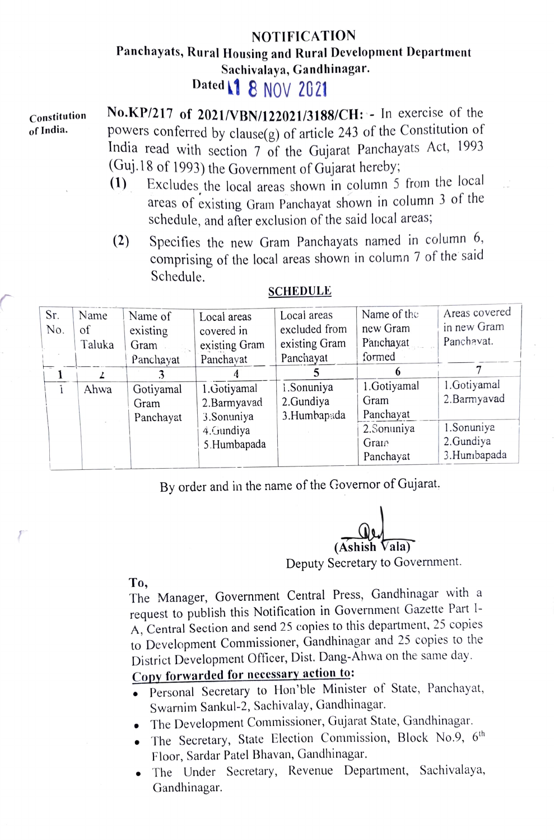## NOTIFICATION Panchayats, Rural Housing and Rural Development Department Sachivalaya, Gandhinagar.

## Dated 1 8 NOV 2021

of India.

Constitution No.KP/217 of 2021/VBN/122021/3188/CH: - In exercise of the powers conferred by clause(g) of article 243 of the Constitution of India read with section 7 of the Gujarat Panchayats Act, 1993 (Guj.18 of 1993) the Government of Gujarat hereby,

- (1) Excludes the local areas shown in column 5 from the local areas of existing Gram Panchayat shown in column 3 of the schedule, and after exclusion of the said local areas,
- (2) Specifies the new Gram Panchayats named in column 6, comprising of the local areas shown in column 7 of the said Schedule.

| Sr.<br>No. | Name<br>of<br>Taluka | Name of<br>existing<br>Gram<br>Panchayat | Local areas<br>covered in<br>existing Gram<br>Panchayat | Local areas<br>excluded from<br>existing Gram<br>Panchayat | Name of the<br>new Gram<br>Panchayat<br>formed | Areas covered<br>in new Gram<br>Panchavat. |
|------------|----------------------|------------------------------------------|---------------------------------------------------------|------------------------------------------------------------|------------------------------------------------|--------------------------------------------|
|            | Ahwa                 | Gotiyamal<br>Gram<br>Panchayat           | 1.Gotiyamal<br>2.Barmyavad<br>3.Sonuniya                | 1.Sonuniya<br>2.Gundiya<br>3.Humbapada                     | 1.Gotiyamal<br>Gram<br>Panchayat               | 1.Gotiyamal<br>2.Barmyavad                 |
|            |                      |                                          | 4. Gundiya<br>5.Humbapada                               |                                                            | 2. Sonuniya<br>Gram<br>Panchayat               | 1.Sonuniya<br>2.Gundiya<br>3.Humbapada     |

## **SCHEDULE**

By order and in the name of the Governor of Gujarat.

 $\sqrt{Vala}$ 

Deputy Secretary to Government.

To,

The Manager, Government Central Press, Gandhinagar with a request to publish this Notification in Government Gazette Part 1- A, Central Section and send 25 copies to this department, 25 copies to Development Commissioner, Gandhinagar and 25 copies to the District Development Officer, Dist. Dang-Ahwa on the same day.

- Copy forwarded for necessary action to:<br>• Personal Secretary to Hon'ble Minister of State, Panchayat, Swarnim Sankul-2, Sachivalay, Gandhinagar.
- .The Development Commissioner, Gujarat State, Gandhinagar.
- $\bullet$  The Secretary, State Election Commission, Block No.9, 6<sup>th</sup> Floor, Sardar Patel Bhavan, Gandhinagar.
- The Under Secretary, Revenue Department, Sachivalaya, Gandhinagar.